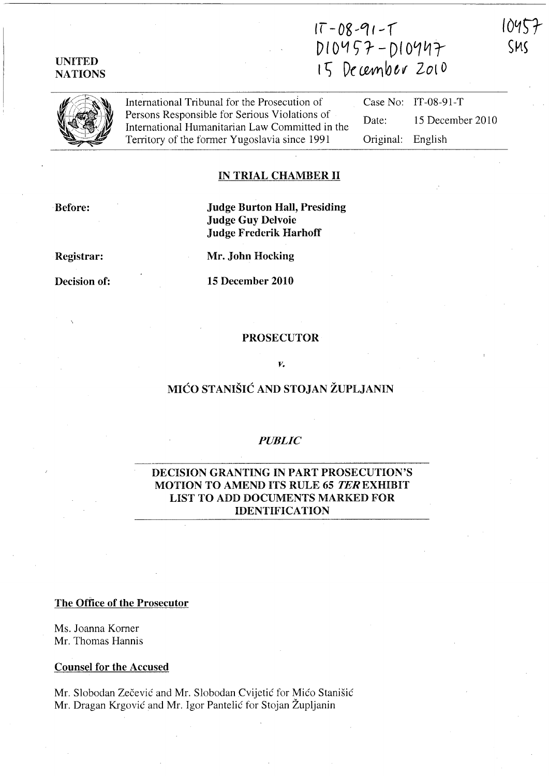# UNITED NATIONS

# $17 - 08 - 91 - 1$  $DIO457 - DIO947$  $15$  December 2010





International Tribunal for the Prosecution of Persons Responsible for Serious Violations of International Humanitarian Law Committed in the Territory of the former Yugoslavia since 1991

Case No: IT-08-91-T Date: 15 December 2010 Original: English

### IN TRIAL CHAMBER 11

Before:

Judge Burton Hall, Presiding Judge Guy Delvoie Judge Frederik Harhoff

Registrar:

Decision of:

15 December 2010

Mr. John Hocking

### PROSECUTOR

### *v.*

# MICO STANISIC AND STOJAN ZUPLJANIN

### *PUBLIC*

### DECISION GRANTING IN PART PROSECUTION'S MOTION TO AMEND ITS RULE 65 TER EXHIBIT LIST TO ADD DOCUMENTS MARKED FOR IDENTIFICATION

### The Office of the Prosecutor

Ms. Joanna Korner Mr. Thomas Hannis

#### Counsel for the Accused

Mr. Slobodan Zecevic and Mr. Slobodan Cvijetic for Mico Stanisic Mr. Dragan Krgovic and Mr. Igor Pantelic for Stojan Zupljanin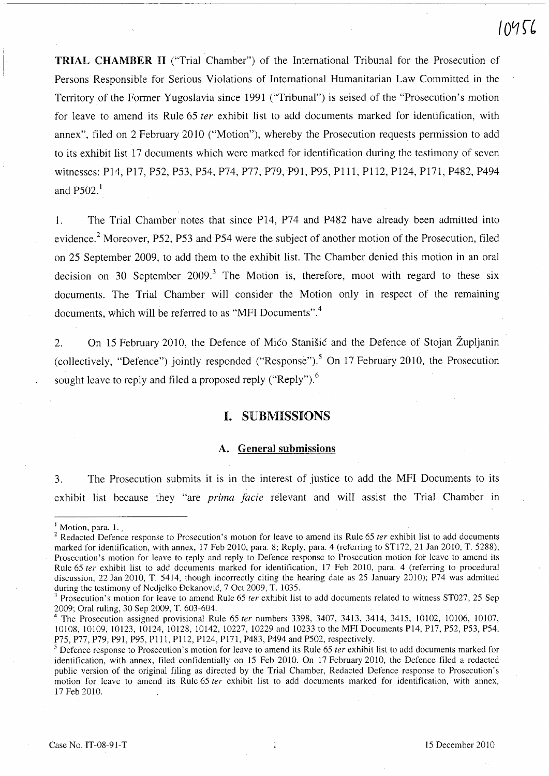# $10456$

TRIAL CHAMBER 11 ("Trial Chamber") of the International Tribunal for the Prosecution of Persons Responsible for Serious Violations of International Humanitarian Law Committed in the Territory of the Former Yugoslavia since 1991 ("Tribunal") is seised of the "Prosecution's motion for leave to amend its Rule 65 *ter* exhibit list to add documents marked for identification, with annex", filed on 2 February 2010 ("Motion"), whereby the Prosecution requests permission to add to its exhibit list 17 documents which were marked for identification during the testimony of seven witnesses: P14, P17, P52, P53, P54, P74, P77, P79, P91, P95, PIll, P1l2, P124, P171, P482, P494 and  $P502<sup>1</sup>$ 

l. The Trial Chamber notes that since P14, P74 and P482 have already been admitted into evidence.<sup>2</sup> Moreover, P52, P53 and P54 were the subject of another motion of the Prosecution, filed on 25 September 2009, to add them to the exhibit list. The Chamber denied this motion in an oral decision on 30 September 2009.<sup>3</sup> The Motion is, therefore, moot with regard to these six documents. The Trial Chamber will consider the Motion only in respect of the remaining documents, which will be referred to as "MFI Documents".<sup>4</sup>

2. On 15 February 2010, the Defence of Mico Stanisic and the Defence of Stojan Zupljanin (collectively, "Defence") jointly responded ("Response").<sup>5</sup> On 17 February 2010, the Prosecution sought leave to reply and filed a proposed reply ("Reply").<sup>6</sup>

# I. SUBMISSIONS

### A. General submissions

3. The Prosecution submits it is in the interest of justice to add the MFI Documents to its exhibit list because they "are *prima facie* relevant and will assist the Trial Chamber in

<sup>&</sup>lt;sup>1</sup> Motion, para. 1.

<sup>&</sup>lt;sup>2</sup> Redacted Defence response to Prosecution's motion for leave to amend its Rule 65 ter exhibit list to add documents marked for identification, with annex, 17 Feb 2010, para. 8; Reply, para. 4 (referring to STl72, 21 Jan 2010, T. 5288); Prosecution's motion for leave to reply and reply to Defence response to Prosecution motion for leave to amend its Rule 65 ter exhibit list to add documents marked for identification, 17 Feb 2010, para. 4 (referring to procedural discussion, 22 Jan 2010, T. 5414, though incorrectly citing the hearing date as 25 January 2010); P74 was admitted during the testimony of Nedjelko Đekanović, 7 Oct 2009, T. 1035.

Prosecution's motion for leave to amend Rule 65 *ter* exhibit list to add documents related to witness ST027, 25 Sep 2009; Oral ruling, 30 Sep 2009, T. 603-604.

<sup>4</sup> The Prosecution assigned provisional Rule 65 fer numbers 3398, 3407, 3413, 3414, 3415, 10102, 10106, 10107, 10108, 10109, 10123, 10124, 10128, 10142, 10227, 10229 and 10233 to the MFI Documents P14, P17, P52, P53, P54, P75, P77, P79, P91, P95, Pill, P112, P124, P171, P483, P494 and P502, respectively.

 $<sup>5</sup>$  Defence response to Prosecution's motion for leave to amend its Rule 65 *ter* exhibit list to add documents marked for</sup> identification, with annex, filed confidentially on 15 Feb 2010. On 17 February 2010, the Defence filed a redacted public version of the original filing as directed by the Trial Chamber, Redacted Defence response to Prosecution's motion for leave to amend its Rule 65 *ter* exhibit list to add documents marked for identification, with annex, 17 Feb 2010.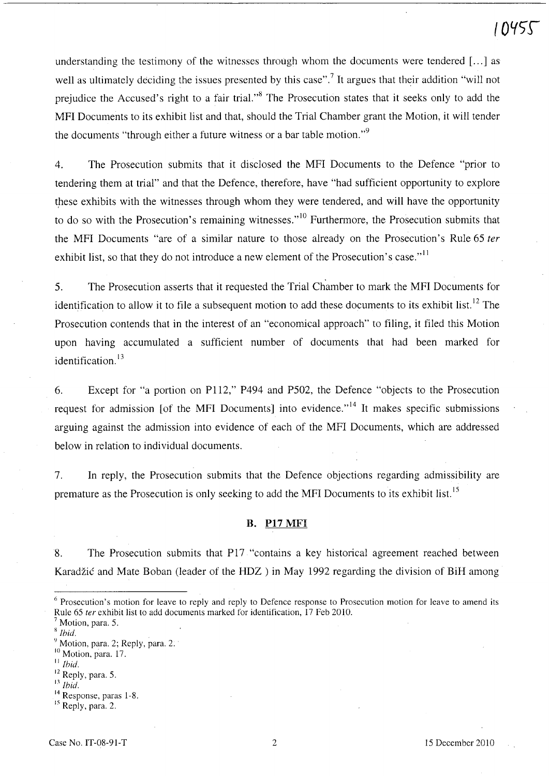# 1045 C

understanding the testimony of the witnesses through whom the documents were tendered  $[\dots]$  as well as ultimately deciding the issues presented by this case".<sup>7</sup> It argues that their addition "will not prejudice the Accused's right to a fair trial."<sup>8</sup> The Prosecution states that it seeks only to add the MFI Documents to its exhibit list and that, should the Trial Chamber grant the Motion, it will tender the documents "through either a future witness or a bar table motion."<sup>9</sup>

4. The Prosecution submits that it disclosed the MFI Documents to the Defence "prior to tendering them at trial" and that the Defence, therefore, have "had sufficient opportunity to explore these exhibits with the witnesses through whom they were tendered, and will have the opportunity to do so with the Prosecution's remaining witnesses."<sup>10</sup> Furthermore, the Prosecution submits that the MFI Documents "are of a similar nature to those already on the Prosecution's Rule 65 *ter*  exhibit list, so that they do not introduce a new element of the Prosecution's case." $11$ 

5. The Prosecution asserts that it requested the Trial Chamber to mark the MFI Documents for identification to allow it to file a subsequent motion to add these documents to its exhibit list.<sup>12</sup> The Prosecution contends that in the interest of an "economical approach" to filing, it filed this Motion upon having accumulated a sufficient number of documents that had been marked for identification. $13$ 

6. Except for "a portion on P112," P494 and P502, the Defence "objects to the Prosecution request for admission [of the MFI Documents] into evidence."<sup>14</sup> It makes specific submissions arguing against the admission into evidence of each of the MFI Documents, which are addressed below in relation to individual documents.

7. In reply, the Prosecution submits that the Defence objections regarding admissibility are premature as the Prosecution is only seeking to add the MFI Documents to its exhibit list.<sup>15</sup>

#### B. **Pt7** MFI

8. The Prosecution submits that P17 "contains a key historical agreement reached between Karadžić and Mate Boban (leader of the HDZ) in May 1992 regarding the division of BiH among

<sup>8</sup>*Ibid.* 

<sup>11</sup>*Ibid.* 

n *Ibid.* 

<sup>6</sup> Prosecution's motion for leave to reply and reply to Defence response to Prosecution motion for leave to amend its Rule 65 ter exhibit list to add documents marked for identification, 17 Feb 2010.

Motion, para. 5.

 $9^9$  Motion, para. 2; Reply, para. 2. $10^1$  Motion, para. 17.

<sup>&</sup>lt;sup>12</sup> Reply, para. 5.

<sup>&</sup>lt;sup>14</sup> Response, paras 1-8.

<sup>&</sup>lt;sup>15</sup> Reply, para. 2.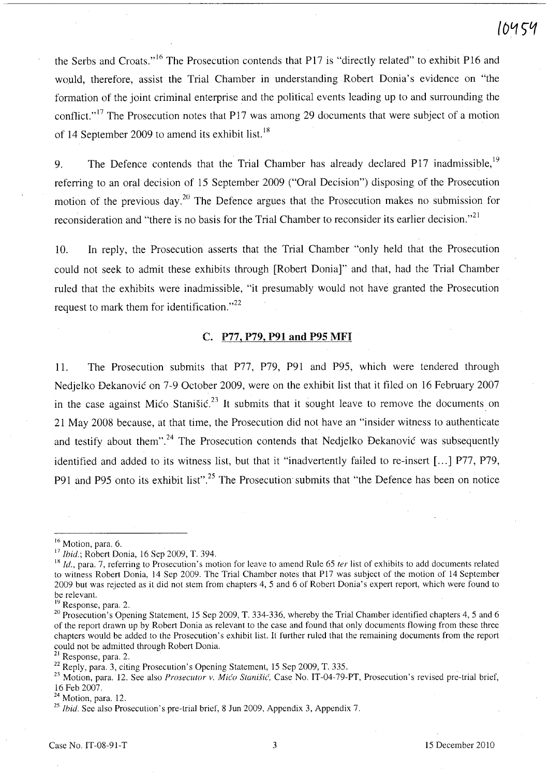# ΄ ΝΑ ϚͶ

the Serbs and Croats."<sup>16</sup> The Prosecution contends that P17 is "directly related" to exhibit P16 and would, therefore, assist the Trial Chamber in understanding Robert Donia's evidence on "the formation of the joint criminal enterprise and the political events leading up to and surrounding the conflict."<sup>17</sup> The Prosecution notes that P17 was among 29 documents that were subject of a motion of 14 September 2009 to amend its exhibit list.<sup>18</sup>

9. The Defence contends that the Trial Chamber has already declared P17 inadmissible,  $19$ referring to an oral decision of 15 September 2009 ("Oral Decision") disposing of the Prosecution motion of the previous day.<sup>20</sup> The Defence argues that the Prosecution makes no submission for reconsideration and "there is no basis for the Trial Chamber to reconsider its earlier decision."<sup>21</sup>

10. In reply, the Prosecution asserts that the Trial Chamber "only held that the Prosecution could not seek to admit these exhibits through [Robert Donia]" and that, had the Trial Chamber ruled that the exhibits were inadmissible, "it presumably would not have granted the Prosecution request to mark them for identification." $22$ 

# C. P77, P79, P91 and P95 MFI

11. The Prosecution submits that P77, P79, P91 and P95, which were tendered through Nedjelko Dekanovic on 7-9 October 2009, were on the exhibit list that it filed on 16 February 2007 in the case against Mico Stanisic.<sup>23</sup> It submits that it sought leave to remove the documents on 21 May 2008 because, at that time, the Prosecution did not have an "insider witness to authenticate and testify about them".<sup>24</sup> The Prosecution contends that Nedjelko Đekanović was subsequently identified and added to its witness list, but that it "inadvertently failed to re-insert [...] P77, P79, P91 and P95 onto its exhibit list".<sup>25</sup> The Prosecution submits that "the Defence has been on notice

<sup>&</sup>lt;sup>16</sup> Motion, para. 6.

<sup>17</sup>*Ibid.;* Robert Donia, 16 Sep 2009, T. 394.

<sup>&</sup>lt;sup>18</sup> *Id.*, para. 7, referring to Prosecution's motion for leave to amend Rule 65 *ter* list of exhibits to add documents related to witness Robert Donia, 14 Sep 2009. The Trial Chamber notes that P17 was subject of the motion of 14 September 2009 but was rejected as it did not stem from chapters 4, 5 and 6 of Robert Donia's expert report, which were found to be relevant.

 $19$  Response, para. 2.

<sup>&</sup>lt;sup>20</sup> Prosecution's Opening Statement, 15 Sep 2009, T. 334-336, whereby the Trial Chamber identified chapters 4, 5 and 6 of the report drawn up by Robert Donia as relevant to the case and found that only documents flowing from these three chapters would be added to the Prosecution's exhibit list. It further ruled that the remaining documents from the report could not be admitted through Robert Donia.

<sup>&</sup>lt;sup>21</sup> Response, para. 2.

 $22$  Reply, para. 3, citing Prosecution's Opening Statement, 15 Sep 2009, T. 335.

<sup>&</sup>lt;sup>23</sup> Motion, para. 12. See also *Prosecutor v. Mico Stanišic*, Case No. IT-04-79-PT, Prosecution's revised pre-trial brief, 16 Feb 2007.

<sup>&</sup>lt;sup>24</sup> Motion, para. 12.

<sup>&</sup>lt;sup>25</sup> Ibid. See also Prosecution's pre-trial brief, 8 Jun 2009, Appendix 3, Appendix 7.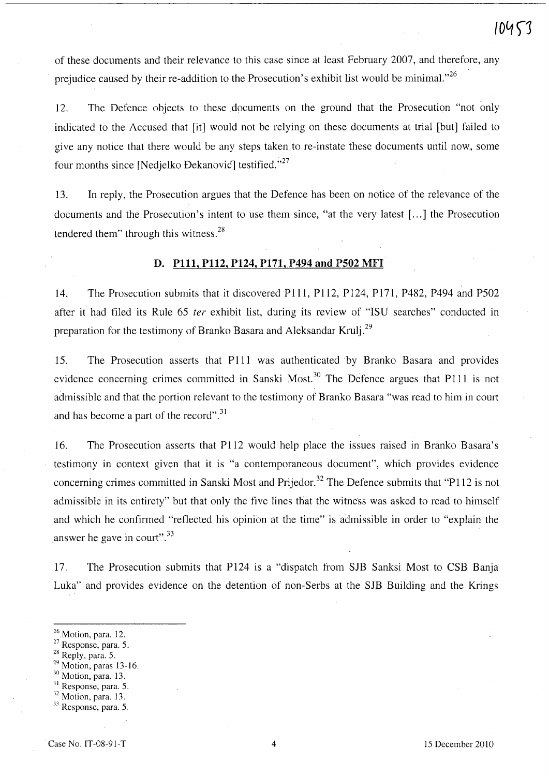of these documents and their relevance to this case since at least February 2007, and therefore, any prejudice caused by their re-addition to the Prosecution's exhibit list would be minimal."<sup>26</sup>

12. The Defence objects to these documents on the ground that the Prosecution "not only indicated to the Accused that [it] would not be relying on these documents at trial [but] failed to give any notice that there would be any steps taken to re-instate these documents until now, some four months since [Nedjelko Đekanović] testified."<sup>27</sup>

13. In reply, the Prosecution argues that the Defence has been on notice of the relevance of the documents and the Prosecution's intent to use them since, "at the very latest [...] the Prosecution tendered them" through this witness.<sup>28</sup>

### D. Plll, P112, P124, PI7I, P494 and P502 MFI

14. The Prosecution submits that it discovered PIll, P112, P124, PI7l, P482, P494 and P502 after it had filed its Rule 65 fer exhibit list, during its review of "ISU searches" conducted in preparation for the testimony of Branko Basara and Aleksandar Krulj.<sup>29</sup>

15. The Prosecution asserts that PIll was authenticated by Branko Basara and provides evidence concerning crimes committed in Sanski Most.<sup>30</sup> The Defence argues that P111 is not admissible and that the portion relevant to the testimony of Branko Basara "was read to him in court and has become a part of the record".<sup>31</sup>

16. The Prosecution asserts that P1l2 would help place the issues raised in Branko Basara's testimony in context given that it is "a contemporaneous document", which provides evidence concerning crimes committed in Sanski Most and Prijedor.<sup>32</sup> The Defence submits that "P112 is not admissible in its entirety" but that only the five lines that the witness was asked to read to himself and which he confirmed "reflected his opinion at the time" is admissible in order to "explain the answer he gave in court". $33$ 

17. The Prosecution submits that P124 is a "dispatch from SJB Sanksi Most to CSB Banja Luka" and provides evidence on the detention of non-Serbs at the SJB Building and the Krings

- <sup>27</sup> Response, para. 5.
- 28 Reply, para. 5.
- $29$  Motion, paras 13-16.
- $30$  Motion, para. 13.
- <sup>31</sup> Response, para. 5.
- <sup>32</sup> Motion, para. 13.
- $33$  Response, para. 5.

<sup>&</sup>lt;sup>26</sup> Motion, para. 12.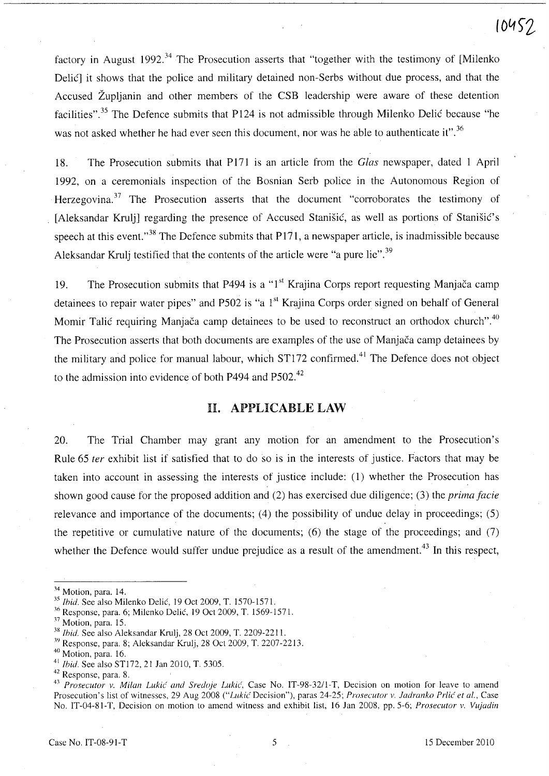factory in August 1992.<sup>34</sup> The Prosecution asserts that "together with the testimony of [Milenko] Delic] it shows that the police and military detained non-Serbs without due process, and that the Accused Zupljanin and other members of the CSB leadership were aware of these detention facilities".<sup>35</sup> The Defence submits that P124 is not admissible through Milenko Delić because "he was not asked whether he had ever seen this document, nor was he able to authenticate it".<sup>36</sup>

18. The Prosecution submits that P171 is an article from the *Glas* newspaper, dated 1 April 1992, on a ceremonials inspection of the Bosnian Serb police in the Autonomous Region of Herzegovina.<sup>37</sup> The Prosecution asserts that the document "corroborates the testimony of [Aleksandar Krulj] regarding the presence of Accused Stanišić, as well as portions of Stanišić's speech at this event."<sup>38</sup> The Defence submits that  $P171$ , a newspaper article, is inadmissible because Aleksandar Krulj testified that the contents of the article were "a pure lie".<sup>39</sup>

19. The Prosecution submits that P494 is a "1<sup>st</sup> Krajina Corps report requesting Manjača camp detainees to repair water pipes" and P502 is "a 1<sup>st</sup> Krajina Corps order signed on behalf of General Momir Talic requiring Manjaca camp detainees to be used to reconstruct an orthodox church".<sup>40</sup> The Prosecution asserts that both documents are examples of the use of Manjaca camp detainees by the military and police for manual labour, which ST172 confirmed.<sup>41</sup> The Defence does not object to the admission into evidence of both P494 and P502.<sup>42</sup>

# **H. APPLICABLE LAW**

20. The Trial Chamber may grant any motion for an amendment to the Prosecution's Rule 65 *ter* exhibit list if satisfied that to do so is in the interests of justice. Factors that may be taken into account in assessing the interests of justice include: (1) whether the Prosecution has shown good cause for the proposed addition and (2) has exercised due diligence; (3) the *prima facie*  relevance and importance of the documents; (4) the possibility of undue delay in proceedings; (5) the repetitive or cumulative nature of the documents; (6) the stage of the proceedings; and (7) whether the Defence would suffer undue prejudice as a result of the amendment.<sup>43</sup> In this respect,

**104S"2** 

<sup>&</sup>lt;sup>34</sup> Motion, para. 14.

*<sup>35</sup> Ihid.* See also Milenko Delic, 19 Oct 2009, T. 1570-157l.

<sup>36</sup> Response, para. 6; Milenko Delic, 19 Oct 2009, T. 1569-157l.

<sup>&</sup>lt;sup>37</sup> Motion, para. 15.

<sup>&</sup>lt;sup>38</sup> *Ibid.* See also Aleksandar Krulj, 28 Oct 2009, T. 2209-2211.

<sup>39</sup> Response, para. 8; Aleksandar Krulj, 28 Oct 2009, T. 2207-2213.

<sup>40</sup> Motion, para. 16.

<sup>41</sup>*Ihid.* See also STI72, 21 Jan 2010, T. 5305.

<sup>42</sup> Response, para. 8.

<sup>&</sup>lt;sup>43</sup> Prosecutor v. Milan Lukić and Sredoje Lukić, Case No. IT-98-32/1-T, Decision on motion for leave to amend Prosecution's list of witnesses, 29 Aug 2008 *("Lukić Decision")*, paras 24-25; *Prosecutor v. Jadranko Prlić et al.*, Case No. IT-04-81-T, Decision on motion to amend witness and exhibit list, 16 Jan 2008, pp. 5-6; *Prosecutor v. Vujadin*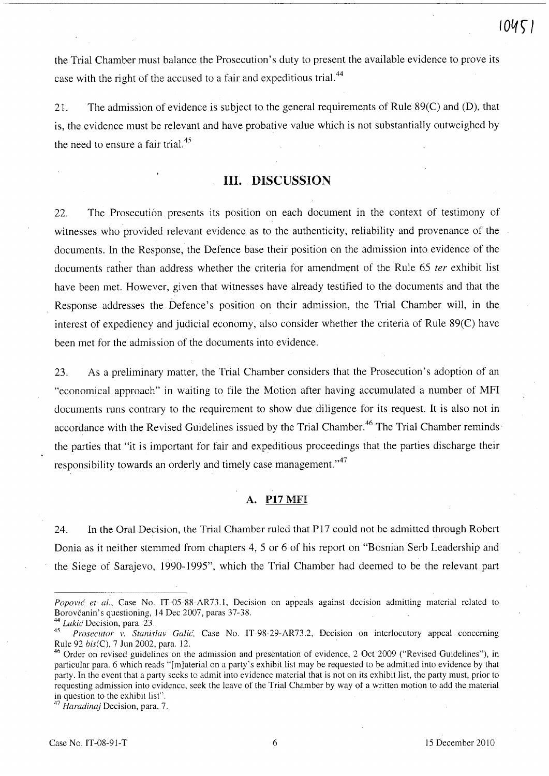the Trial Chamber must balance the Prosecution's duty to present the available evidence to prove its case with the right of the accused to a fair and expeditious trial.<sup>44</sup>

21. The admission of evidence is subject to the general requirements of Rule 89(C) and (D), that is, the evidence must be relevant and have probative value which is not substantially outweighed by the need to ensure a fair trial.<sup>45</sup>

# HI. DISCUSSION

22. The Prosecution presents its position on each document in the context of testimony of witnesses who provided relevant evidence as to the authenticity, reliability and provenance of the documents. In the Response, the Defence base their position on the admission into evidence of the documents rather than address whether the criteria for amendment of the Rule 65 *ter* exhibit list have been met. However, given that witnesses have already testified to the documents and that the Response addresses the Defence's position on their admission, the Trial Chamber will, in the interest of expediency and judicial economy, also consider whether the criteria of Rule 89(C) have been met for the admission of the documents into evidence.

23. As a preliminary matter, the Trial Chamber considers that the Prosecution's adoption of an "economical approach" in waiting to file the Motion after having accumulated a number of MFI documents runs contrary to the requirement to show due diligence for its request. It is also not in accordance with the Revised Guidelines issued by the Trial Chamber.<sup>46</sup> The Trial Chamber reminds the parties that "it is important for fair and expeditious proceedings that the parties discharge their responsibility towards an orderly and timely case management."<sup>47</sup>

# A. P17MFI

24. In the Oral Decision, the Trial Chamber ruled that PI7 could not be admitted through Robert Donia as it neither stemmed from chapters 4, 5 or 6 of his report on "Bosnian Serb Leadership and the Siege of Sarajevo, 1990-1995", which the Trial Chamber had deemed to be the relevant part

<sup>47</sup>*Haradinaj* Decision, para. 7.

*Popovic' et aI.,* Case No. IT-05-SS-AR73.1, Decision on appeals against decision admitting material related to Borovčanin's questioning, 14 Dec 2007, paras 37-38.

<sup>44</sup>*Lukic'* Decision, para. 23.

*<sup>45</sup> Prosecutor v. Stanislav Calic',* Case No. IT-9S-29-AR73.2, Decision on interlocutory appeal concerning Rule 92 *his(C),* 7 lun 2002, para. 12.

<sup>&</sup>lt;sup>46</sup> Order on revised guidelines on the admission and presentation of evidence, 2 Oct 2009 ("Revised Guidelines"), in particular para. 6 which reads "[mJaterial on a party's exhibit list may be requested to be admitted into evidence by that party. In the event that a party seeks to admit into evidence material that is not on its exhibit list, the party must, prior to requesting admission into evidence, seek the leave of the Trial Chamber by way of a written motion to add the material in question to the exhibit list".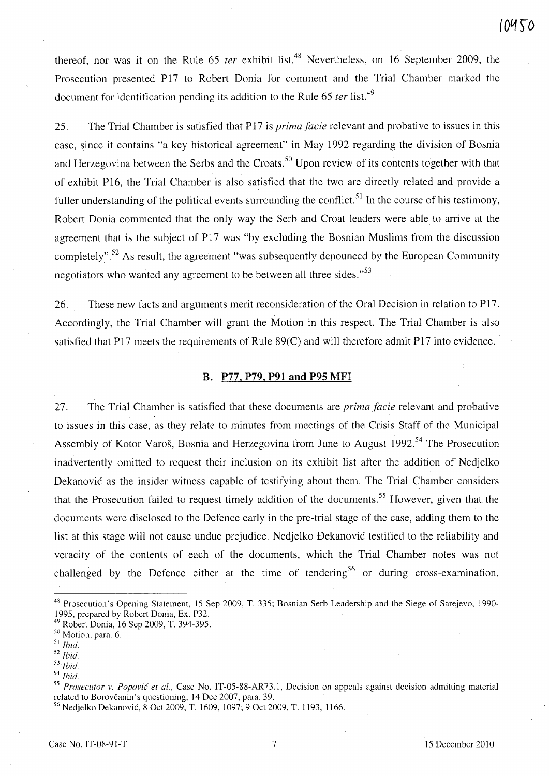thereof, nor was it on the Rule 65 *ter* exhibit list.<sup>48</sup> Nevertheless, on 16 September 2009, the Prosecution presented P17 to Robert Donia for comment and the Trial Chamber marked the document for identification pending its addition to the Rule 65 *ter* list.<sup>49</sup>

25. The Trial Chamber is satisfied that P17 is *prima facie* relevant and probative to issues in this case, since it contains "a key historical agreement" in May 1992 regarding the division of Bosnia and Herzegovina between the Serbs and the Croats.<sup>50</sup> Upon review of its contents together with that of exhibit P16, the Trial Chamber is also satisfied that the two are directly related and provide a fuller understanding of the political events surrounding the conflict.<sup>51</sup> In the course of his testimony, Robert Donia commented that the only way the Serb and Croat leaders were able to arrive at the agreement that is the subject of P17 was "by excluding the Bosnian Muslims from the discussion completely".<sup>52</sup> As result, the agreement "was subsequently denounced by the European Community negotiators who wanted any agreement to be between all three sides."<sup>53</sup>

26. These new facts and arguments merit reconsideration of the Oral Decision in relation to P17. Accordingly, the Trial Chamber will grant the Motion in this respect. The Trial Chamber is also satisfied that P17 meets the requirements of Rule 89(C) and will therefore admit P17 into evidence.

### **B. P77, P79, P91 and P95** MFI

27. The Trial Chamber is satisfied that these documents are *prima facie* relevant and probative to issues in this case, as they relate to minutes from meetings of the Crisis Staff of the Municipal Assembly of Kotor Varoš, Bosnia and Herzegovina from June to August 1992.<sup>54</sup> The Prosecution inadvertently omitted to request their inclusion on its exhibit list after the addition of Nedjelko Dekanovic as the insider witness capable of testifying about them. The Trial Chamber considers that the Prosecution failed to request timely addition of the documents.<sup>55</sup> However, given that the documents were disclosed to the Defence early in the pre-trial stage of the case, adding them to the list at this stage will not cause undue prejudice. Nedjelko Dekanovic testified to the reliability and veracity of the contents of each of the documents, which the Trial Chamber notes was not challenged by the Defence either at the time of tendering<sup>56</sup> or during cross-examination.

<sup>48</sup> Prosecution's Opening Statement, 15 Sep 2009, T. 335; Bosnian Serb Leadership and the Siege of Sarejevo, 1990- 1995, prepared by Robert Donia, Ex. P32.

<sup>49</sup> Robert Donia, 16 Sep 2009, T. 394-395.

<sup>50</sup> Motion, para. 6.

<sup>51</sup>*Ibid.* 

*<sup>52</sup> Ibid.* 

*<sup>53</sup> 1bid.* 

*<sup>54</sup>Ihid.* 

<sup>&</sup>lt;sup>55</sup> Prosecutor v. Popović et al., Case No. IT-05-88-AR73.1, Decision on appeals against decision admitting material related to Borovčanin's questioning, 14 Dec 2007, para. 39.

<sup>56</sup> Nedjelko Dekanovic, 8 Oct 2009, T. 1609, lO97; 9 Oct 2009, T. 1193, 1166.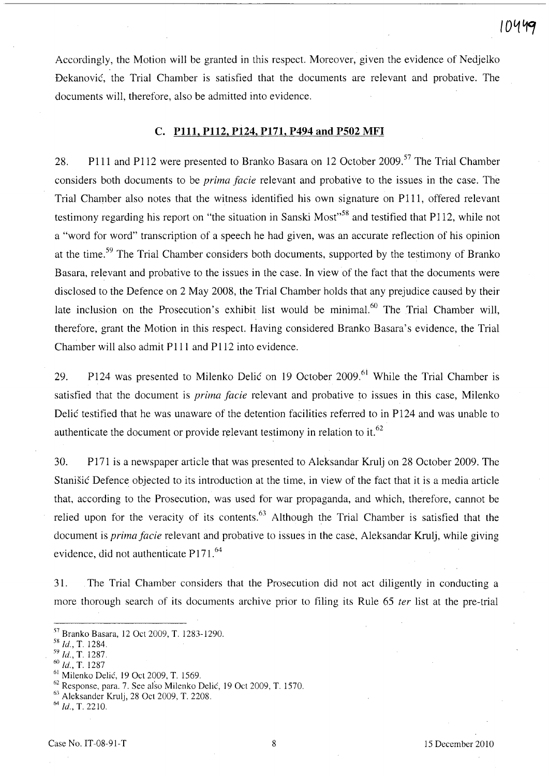Accordingly, the Motion will be granted in this respect. Moreover, given the evidence of Nedjelko Dekanovic, the Trial Chamber is satisfied that the documents are relevant and probative. The documents will, therefore, also be admitted into evidence.

### C. **PllI, P112, P124, PI71, P494 and PS02** MFI

28. P111 and P112 were presented to Branko Basara on 12 October 2009.<sup>57</sup> The Trial Chamber considers both documents to be *prima facie* relevant and probative to the issues in the case. The Trial Chamber also notes that the witness identified his own signature on PIll, offered relevant testimony regarding his report on "the situation in Sanski Most"<sup>58</sup> and testified that P112, while not a "word for word" transcription of a speech he had given, was an accurate reflection of his opinion at the time.<sup>59</sup> The Trial Chamber considers both documents, supported by the testimony of Branko Basara, relevant and probative to the issues in the case. In view of the fact that the documents were disclosed to the Defence on 2 May 2008, the Trial Chamber holds that any prejudice caused by their late inclusion on the Prosecution's exhibit list would be minimal.<sup>60</sup> The Trial Chamber will, therefore, grant the Motion in this respect. Having considered Branko Basara's evidence, the Trial Chamber will also admit PIll and Pl12 into evidence.

29. P124 was presented to Milenko Delić on 19 October 2009.<sup>61</sup> While the Trial Chamber is satisfied that the document is *prima facie* relevant and probative to issues in this case, Milenko Delic testified that he was unaware of the detention facilities referred to in P124 and was unable to authenticate the document or provide relevant testimony in relation to it.  $62$ 

30. P 171 is a newspaper article that was presented to Aleksandar Krulj on 28 October 2009. The Stanisic Defence objected to its introduction at the time, in view of the fact that it is a media article that, according to the Prosecution, was used for war propaganda, and which, therefore, cannot be relied upon for the veracity of its contents.<sup>63</sup> Although the Trial Chamber is satisfied that the document is *prima facie* relevant and probative to issues in the case, Aleksandar Krulj, while giving evidence, did not authenticate P171.<sup>64</sup>

31. The Trial Chamber considers that the Prosecution did not act diligently in conducting a more thorough search of its documents archive prior to filing its Rule 65 *ter* list at the pre-trial

- <sup>60</sup>*Id.,* T. 1287
- <sup>61</sup> Milenko Delić, 19 Oct 2009, T. 1569.

S7 Branko Basara, 12 Qct 2009, T. 1283-1290.

<sup>5</sup>X *Id.,* T. 1284.

S9 *Id.,* T. 1287.

<sup>62</sup> Response, para. 7. See also Milenko Delic, 19 Qct 2009, T. 1570.

<sup>6}</sup> Aleksander Krulj, 28 Qct 2009, T. 2208.

 $^{64}$  *Id.*, T. 2210.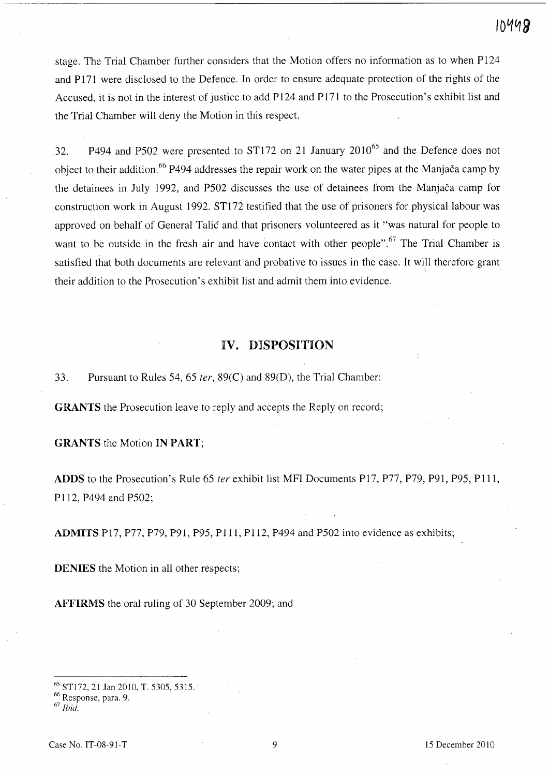stage. The Trial Chamber further considers that the Motion offers no information as to when P124 and P171 were disclosed to the Defence. In order to ensure adequate protection of the rights of the Accused, it is not in the interest of justice to add P124 and P171 to the Prosecution's exhibit list and the Trial Chamber will deny the Motion in this respect.

32. P494 and P502 were presented to ST172 on 21 January 2010<sup>65</sup> and the Defence does not object to their addition.<sup>66</sup> P494 addresses the repair work on the water pipes at the Manjača camp by the detainees in July 1992, and P502 discusses the use of detainees from the Manjaca camp for construction work in August 1992. ST172 testified that the use of prisoners for physical labour was approved on behalf of General Talic and that prisoners volunteered as it "was natural for people to want to be outside in the fresh air and have contact with other people".<sup>67</sup> The Trial Chamber is satisfied that both documents are relevant and probative to issues in the case. It will therefore grant their addition to the Prosecution's exhibit list and admit them into evidence.

# IV. DISPOSITION

33. Pursuant to Rules 54, 65 *ter,* 89(C) and 89(D), the Trial Chamber:

GRANTS the Prosecution leave to reply and accepts the Reply on record;

GRANTS the Motion IN PART;

ADDS to the Prosecution's Rule 65 *ter* exhibit list MFI Documents P17, P77, P79, P9l, P95, PIll, Pl12, P494 and P502;

ADMITS PI7, P77, P79, P91, P9S, PIll, Pll2, P494 and PS02 into evidence as exhibits;

DENIES the Motion in all other respects;

AFFIRMS the oral ruling of 30 September 2009; and

<sup>65</sup> STl72, 21 Jan 2010, T. 5305, 5315.

 $66$  Response, para. 9.  $67$  *Ihid.*